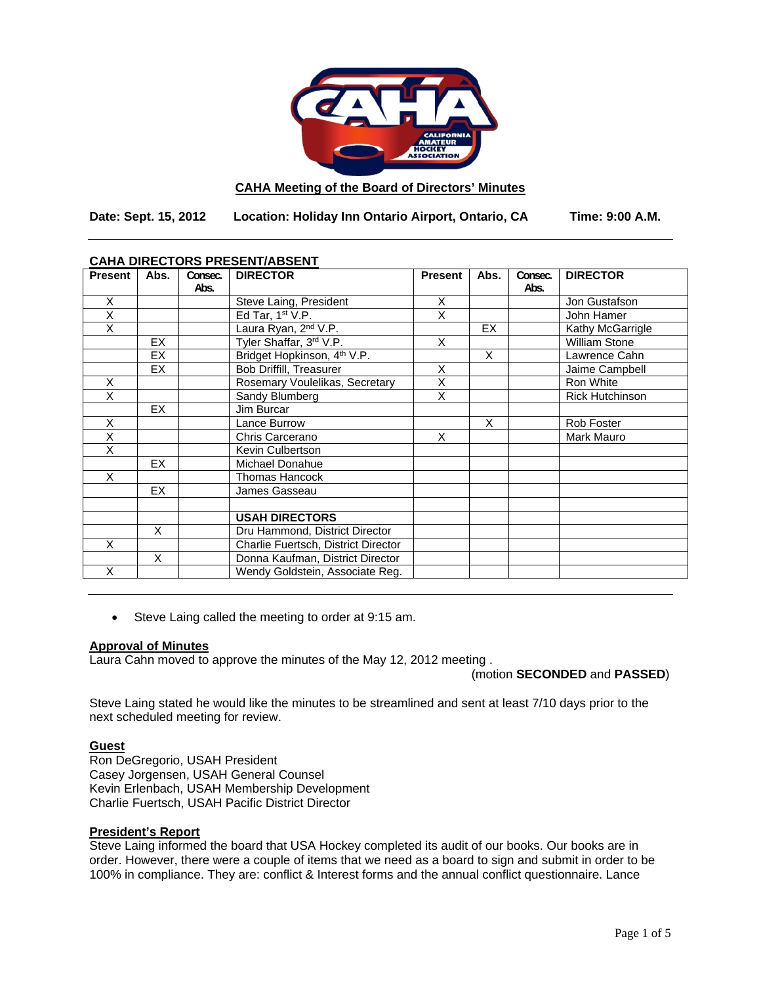

## **CAHA Meeting of the Board of Directors' Minutes**

**Date: Sept. 15, 2012 Location: Holiday Inn Ontario Airport, Ontario, CA Time: 9:00 A.M.** 

| <u>CAHA DIRECTORS FRESENT/ABSENT</u> |           |         |                                         |                |                         |         |                        |
|--------------------------------------|-----------|---------|-----------------------------------------|----------------|-------------------------|---------|------------------------|
| <b>Present</b>                       | Abs.      | Consec. | <b>DIRECTOR</b>                         | <b>Present</b> | Abs.                    | Consec. | <b>DIRECTOR</b>        |
|                                      |           | Abs.    |                                         |                |                         | Abs.    |                        |
| X                                    |           |         | Steve Laing, President                  | X              |                         |         | Jon Gustafson          |
| X                                    |           |         | Ed Tar, $1st V.P.$                      | X              |                         |         | John Hamer             |
| X                                    |           |         | Laura Ryan, 2 <sup>nd</sup> V.P.        |                | EX                      |         | Kathy McGarrigle       |
|                                      | <b>EX</b> |         | Tyler Shaffar, 3rd V.P.                 | X              |                         |         | <b>William Stone</b>   |
|                                      | EX        |         | Bridget Hopkinson, 4 <sup>th</sup> V.P. |                | $\overline{\mathsf{x}}$ |         | Lawrence Cahn          |
|                                      | EX        |         | <b>Bob Driffill, Treasurer</b>          | X              |                         |         | Jaime Campbell         |
| X                                    |           |         | Rosemary Voulelikas, Secretary          | X              |                         |         | Ron White              |
| X                                    |           |         | Sandy Blumberg                          | X              |                         |         | <b>Rick Hutchinson</b> |
|                                      | <b>EX</b> |         | Jim Burcar                              |                |                         |         |                        |
| X                                    |           |         | Lance Burrow                            |                | X                       |         | Rob Foster             |
| X                                    |           |         | Chris Carcerano                         | X              |                         |         | Mark Mauro             |
| X                                    |           |         | Kevin Culbertson                        |                |                         |         |                        |
|                                      | EX.       |         | Michael Donahue                         |                |                         |         |                        |
| X                                    |           |         | <b>Thomas Hancock</b>                   |                |                         |         |                        |
|                                      | <b>EX</b> |         | James Gasseau                           |                |                         |         |                        |
|                                      |           |         |                                         |                |                         |         |                        |
|                                      |           |         | <b>USAH DIRECTORS</b>                   |                |                         |         |                        |
|                                      | X         |         | Dru Hammond, District Director          |                |                         |         |                        |
| X                                    |           |         | Charlie Fuertsch, District Director     |                |                         |         |                        |
|                                      | X         |         | Donna Kaufman, District Director        |                |                         |         |                        |
| X                                    |           |         | Wendy Goldstein, Associate Reg.         |                |                         |         |                        |

## **CAHA DIRECTORS PRESENT/ABSENT**

Steve Laing called the meeting to order at 9:15 am.

#### **Approval of Minutes**

Laura Cahn moved to approve the minutes of the May 12, 2012 meeting .

(motion **SECONDED** and **PASSED**)

Steve Laing stated he would like the minutes to be streamlined and sent at least 7/10 days prior to the next scheduled meeting for review.

## **Guest**

Ron DeGregorio, USAH President Casey Jorgensen, USAH General Counsel Kevin Erlenbach, USAH Membership Development Charlie Fuertsch, USAH Pacific District Director

## **President's Report**

Steve Laing informed the board that USA Hockey completed its audit of our books. Our books are in order. However, there were a couple of items that we need as a board to sign and submit in order to be 100% in compliance. They are: conflict & Interest forms and the annual conflict questionnaire. Lance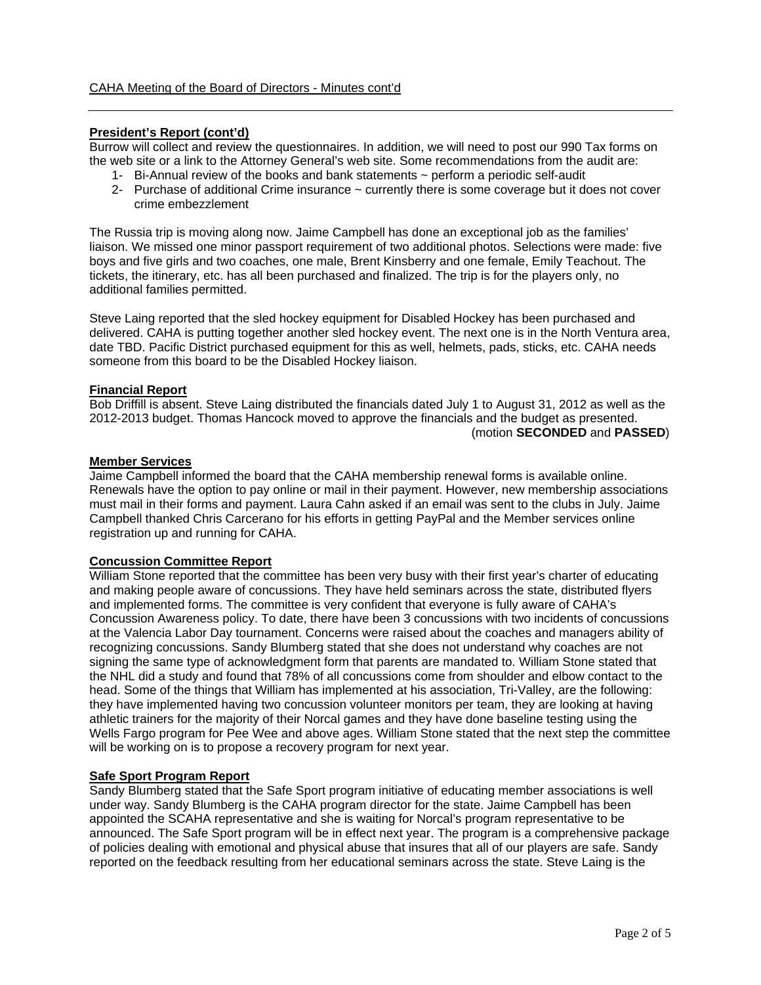## **President's Report (cont'd)**

Burrow will collect and review the questionnaires. In addition, we will need to post our 990 Tax forms on the web site or a link to the Attorney General's web site. Some recommendations from the audit are:

- 1- Bi-Annual review of the books and bank statements ~ perform a periodic self-audit
- 2- Purchase of additional Crime insurance ~ currently there is some coverage but it does not cover crime embezzlement

The Russia trip is moving along now. Jaime Campbell has done an exceptional job as the families' liaison. We missed one minor passport requirement of two additional photos. Selections were made: five boys and five girls and two coaches, one male, Brent Kinsberry and one female, Emily Teachout. The tickets, the itinerary, etc. has all been purchased and finalized. The trip is for the players only, no additional families permitted.

Steve Laing reported that the sled hockey equipment for Disabled Hockey has been purchased and delivered. CAHA is putting together another sled hockey event. The next one is in the North Ventura area, date TBD. Pacific District purchased equipment for this as well, helmets, pads, sticks, etc. CAHA needs someone from this board to be the Disabled Hockey liaison.

## **Financial Report**

Bob Driffill is absent. Steve Laing distributed the financials dated July 1 to August 31, 2012 as well as the 2012-2013 budget. Thomas Hancock moved to approve the financials and the budget as presented. (motion **SECONDED** and **PASSED**)

#### **Member Services**

Jaime Campbell informed the board that the CAHA membership renewal forms is available online. Renewals have the option to pay online or mail in their payment. However, new membership associations must mail in their forms and payment. Laura Cahn asked if an email was sent to the clubs in July. Jaime Campbell thanked Chris Carcerano for his efforts in getting PayPal and the Member services online registration up and running for CAHA.

## **Concussion Committee Report**

William Stone reported that the committee has been very busy with their first year's charter of educating and making people aware of concussions. They have held seminars across the state, distributed flyers and implemented forms. The committee is very confident that everyone is fully aware of CAHA's Concussion Awareness policy. To date, there have been 3 concussions with two incidents of concussions at the Valencia Labor Day tournament. Concerns were raised about the coaches and managers ability of recognizing concussions. Sandy Blumberg stated that she does not understand why coaches are not signing the same type of acknowledgment form that parents are mandated to. William Stone stated that the NHL did a study and found that 78% of all concussions come from shoulder and elbow contact to the head. Some of the things that William has implemented at his association, Tri-Valley, are the following: they have implemented having two concussion volunteer monitors per team, they are looking at having athletic trainers for the majority of their Norcal games and they have done baseline testing using the Wells Fargo program for Pee Wee and above ages. William Stone stated that the next step the committee will be working on is to propose a recovery program for next year.

## **Safe Sport Program Report**

Sandy Blumberg stated that the Safe Sport program initiative of educating member associations is well under way. Sandy Blumberg is the CAHA program director for the state. Jaime Campbell has been appointed the SCAHA representative and she is waiting for Norcal's program representative to be announced. The Safe Sport program will be in effect next year. The program is a comprehensive package of policies dealing with emotional and physical abuse that insures that all of our players are safe. Sandy reported on the feedback resulting from her educational seminars across the state. Steve Laing is the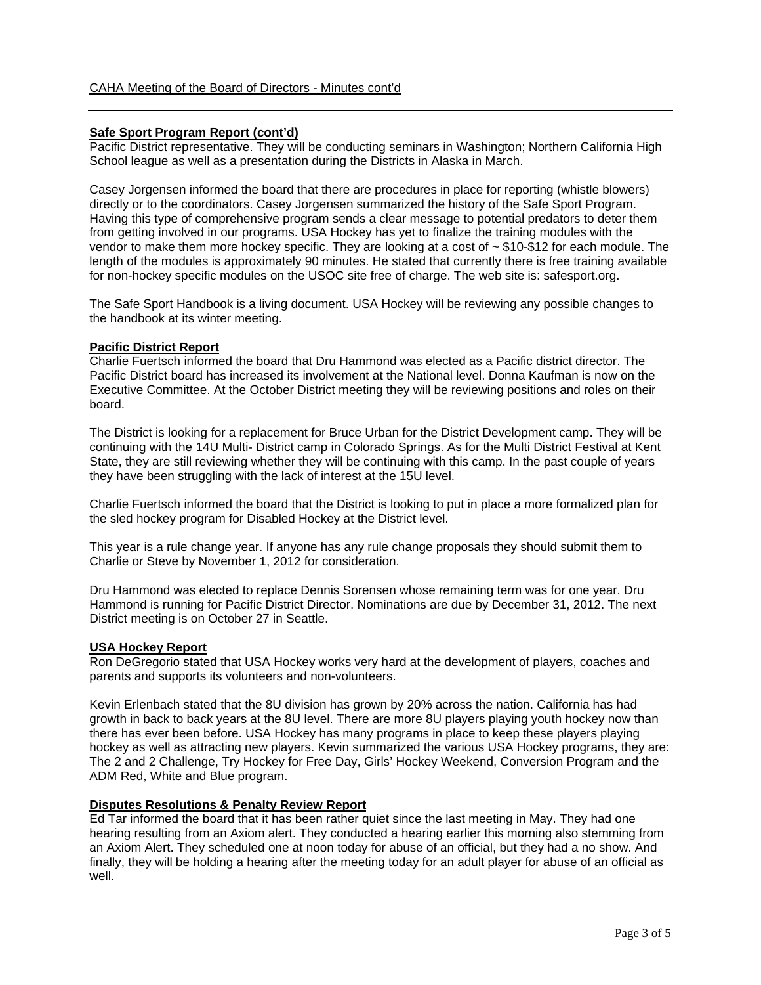### **Safe Sport Program Report (cont'd)**

Pacific District representative. They will be conducting seminars in Washington; Northern California High School league as well as a presentation during the Districts in Alaska in March.

Casey Jorgensen informed the board that there are procedures in place for reporting (whistle blowers) directly or to the coordinators. Casey Jorgensen summarized the history of the Safe Sport Program. Having this type of comprehensive program sends a clear message to potential predators to deter them from getting involved in our programs. USA Hockey has yet to finalize the training modules with the vendor to make them more hockey specific. They are looking at a cost of  $\sim$  \$10-\$12 for each module. The length of the modules is approximately 90 minutes. He stated that currently there is free training available for non-hockey specific modules on the USOC site free of charge. The web site is: safesport.org.

The Safe Sport Handbook is a living document. USA Hockey will be reviewing any possible changes to the handbook at its winter meeting.

#### **Pacific District Report**

Charlie Fuertsch informed the board that Dru Hammond was elected as a Pacific district director. The Pacific District board has increased its involvement at the National level. Donna Kaufman is now on the Executive Committee. At the October District meeting they will be reviewing positions and roles on their board.

The District is looking for a replacement for Bruce Urban for the District Development camp. They will be continuing with the 14U Multi- District camp in Colorado Springs. As for the Multi District Festival at Kent State, they are still reviewing whether they will be continuing with this camp. In the past couple of years they have been struggling with the lack of interest at the 15U level.

Charlie Fuertsch informed the board that the District is looking to put in place a more formalized plan for the sled hockey program for Disabled Hockey at the District level.

This year is a rule change year. If anyone has any rule change proposals they should submit them to Charlie or Steve by November 1, 2012 for consideration.

Dru Hammond was elected to replace Dennis Sorensen whose remaining term was for one year. Dru Hammond is running for Pacific District Director. Nominations are due by December 31, 2012. The next District meeting is on October 27 in Seattle.

#### **USA Hockey Report**

Ron DeGregorio stated that USA Hockey works very hard at the development of players, coaches and parents and supports its volunteers and non-volunteers.

Kevin Erlenbach stated that the 8U division has grown by 20% across the nation. California has had growth in back to back years at the 8U level. There are more 8U players playing youth hockey now than there has ever been before. USA Hockey has many programs in place to keep these players playing hockey as well as attracting new players. Kevin summarized the various USA Hockey programs, they are: The 2 and 2 Challenge, Try Hockey for Free Day, Girls' Hockey Weekend, Conversion Program and the ADM Red, White and Blue program.

#### **Disputes Resolutions & Penalty Review Report**

Ed Tar informed the board that it has been rather quiet since the last meeting in May. They had one hearing resulting from an Axiom alert. They conducted a hearing earlier this morning also stemming from an Axiom Alert. They scheduled one at noon today for abuse of an official, but they had a no show. And finally, they will be holding a hearing after the meeting today for an adult player for abuse of an official as well.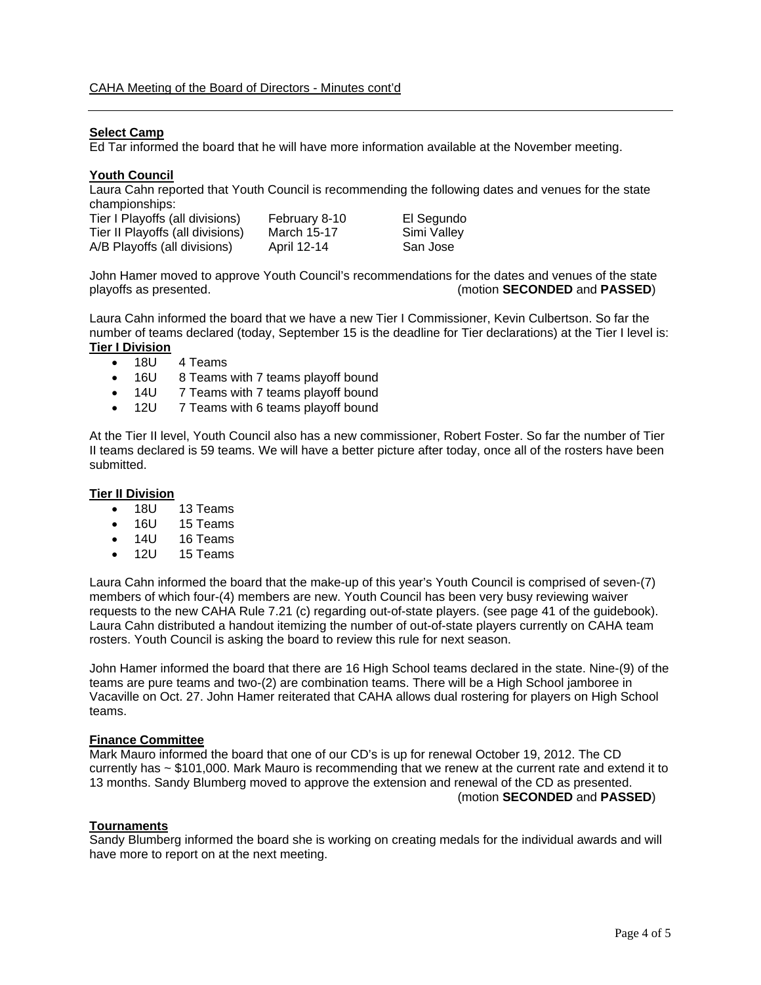## **Select Camp**

Ed Tar informed the board that he will have more information available at the November meeting.

#### **Youth Council**

Laura Cahn reported that Youth Council is recommending the following dates and venues for the state championships:

| Tier I Playoffs (all divisions)  | February 8-10 | El Segundo  |
|----------------------------------|---------------|-------------|
| Tier II Playoffs (all divisions) | March 15-17   | Simi Valley |
| A/B Playoffs (all divisions)     | April 12-14   | San Jose    |

John Hamer moved to approve Youth Council's recommendations for the dates and venues of the state playoffs as presented. (motion **SECONDED** and **PASSED**)

Laura Cahn informed the board that we have a new Tier I Commissioner, Kevin Culbertson. So far the number of teams declared (today, September 15 is the deadline for Tier declarations) at the Tier I level is: **Tier I Division** 

- 18U 4 Teams
- 16U 8 Teams with 7 teams playoff bound
- 14U 7 Teams with 7 teams playoff bound
- 12U 7 Teams with 6 teams playoff bound

At the Tier II level, Youth Council also has a new commissioner, Robert Foster. So far the number of Tier II teams declared is 59 teams. We will have a better picture after today, once all of the rosters have been submitted.

#### **Tier II Division**

- 18U 13 Teams
- 16U 15 Teams
- 14U 16 Teams
- 12U 15 Teams

Laura Cahn informed the board that the make-up of this year's Youth Council is comprised of seven-(7) members of which four-(4) members are new. Youth Council has been very busy reviewing waiver requests to the new CAHA Rule 7.21 (c) regarding out-of-state players. (see page 41 of the guidebook). Laura Cahn distributed a handout itemizing the number of out-of-state players currently on CAHA team rosters. Youth Council is asking the board to review this rule for next season.

John Hamer informed the board that there are 16 High School teams declared in the state. Nine-(9) of the teams are pure teams and two-(2) are combination teams. There will be a High School jamboree in Vacaville on Oct. 27. John Hamer reiterated that CAHA allows dual rostering for players on High School teams.

#### **Finance Committee**

Mark Mauro informed the board that one of our CD's is up for renewal October 19, 2012. The CD currently has ~ \$101,000. Mark Mauro is recommending that we renew at the current rate and extend it to 13 months. Sandy Blumberg moved to approve the extension and renewal of the CD as presented. (motion **SECONDED** and **PASSED**)

#### **Tournaments**

Sandy Blumberg informed the board she is working on creating medals for the individual awards and will have more to report on at the next meeting.